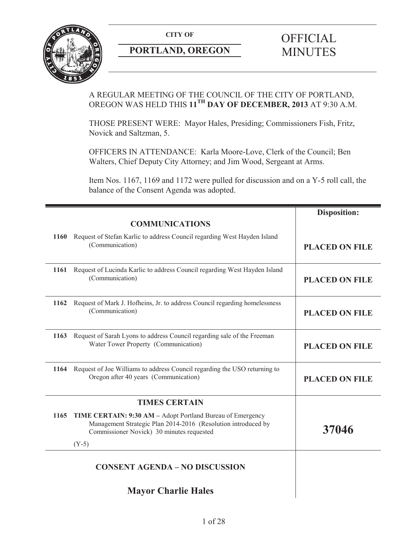

# **PORTLAND, OREGON MINUTES**

# A REGULAR MEETING OF THE COUNCIL OF THE CITY OF PORTLAND, OREGON WAS HELD THIS **11TH DAY OF DECEMBER, 2013** AT 9:30 A.M.

THOSE PRESENT WERE: Mayor Hales, Presiding; Commissioners Fish, Fritz, Novick and Saltzman, 5.

OFFICERS IN ATTENDANCE: Karla Moore-Love, Clerk of the Council; Ben Walters, Chief Deputy City Attorney; and Jim Wood, Sergeant at Arms.

Item Nos. 1167, 1169 and 1172 were pulled for discussion and on a Y-5 roll call, the balance of the Consent Agenda was adopted.

|             |                                                                                                                                                                          | <b>Disposition:</b>   |
|-------------|--------------------------------------------------------------------------------------------------------------------------------------------------------------------------|-----------------------|
|             | <b>COMMUNICATIONS</b>                                                                                                                                                    |                       |
| <b>1160</b> | Request of Stefan Karlic to address Council regarding West Hayden Island<br>(Communication)                                                                              | <b>PLACED ON FILE</b> |
| 1161        | Request of Lucinda Karlic to address Council regarding West Hayden Island<br>(Communication)                                                                             | <b>PLACED ON FILE</b> |
| 1162        | Request of Mark J. Hofheins, Jr. to address Council regarding homelessness<br>(Communication)                                                                            | <b>PLACED ON FILE</b> |
| 1163        | Request of Sarah Lyons to address Council regarding sale of the Freeman<br>Water Tower Property (Communication)                                                          | <b>PLACED ON FILE</b> |
| 1164        | Request of Joe Williams to address Council regarding the USO returning to<br>Oregon after 40 years (Communication)                                                       | <b>PLACED ON FILE</b> |
|             | <b>TIMES CERTAIN</b>                                                                                                                                                     |                       |
| 1165        | TIME CERTAIN: 9:30 AM - Adopt Portland Bureau of Emergency<br>Management Strategic Plan 2014-2016 (Resolution introduced by<br>Commissioner Novick) 30 minutes requested | 37046                 |
|             | $(Y-5)$                                                                                                                                                                  |                       |
|             | <b>CONSENT AGENDA - NO DISCUSSION</b>                                                                                                                                    |                       |
|             | <b>Mayor Charlie Hales</b>                                                                                                                                               |                       |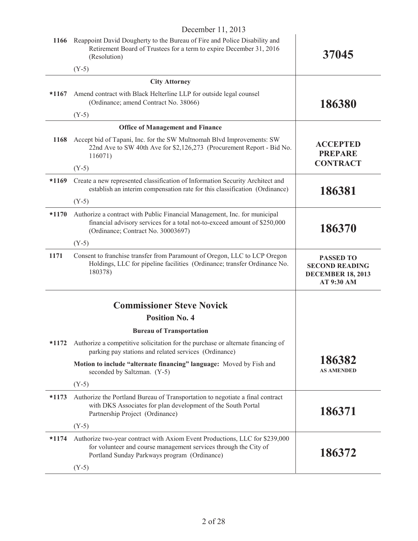|         | December 11, 2013                                                                                                                                                                               |                                                                                     |
|---------|-------------------------------------------------------------------------------------------------------------------------------------------------------------------------------------------------|-------------------------------------------------------------------------------------|
| 1166    | Reappoint David Dougherty to the Bureau of Fire and Police Disability and<br>Retirement Board of Trustees for a term to expire December 31, 2016<br>(Resolution)                                | 37045                                                                               |
|         | $(Y-5)$                                                                                                                                                                                         |                                                                                     |
|         | <b>City Attorney</b>                                                                                                                                                                            |                                                                                     |
| $*1167$ | Amend contract with Black Helterline LLP for outside legal counsel<br>(Ordinance; amend Contract No. 38066)                                                                                     | 186380                                                                              |
|         | $(Y-5)$                                                                                                                                                                                         |                                                                                     |
|         | <b>Office of Management and Finance</b>                                                                                                                                                         |                                                                                     |
| 1168    | Accept bid of Tapani, Inc. for the SW Multnomah Blvd Improvements: SW<br>22nd Ave to SW 40th Ave for \$2,126,273 (Procurement Report - Bid No.<br>116071)                                       | <b>ACCEPTED</b><br><b>PREPARE</b>                                                   |
|         | $(Y-5)$                                                                                                                                                                                         | <b>CONTRACT</b>                                                                     |
| $*1169$ | Create a new represented classification of Information Security Architect and<br>establish an interim compensation rate for this classification (Ordinance)                                     | 186381                                                                              |
|         | $(Y-5)$                                                                                                                                                                                         |                                                                                     |
| $*1170$ | Authorize a contract with Public Financial Management, Inc. for municipal<br>financial advisory services for a total not-to-exceed amount of \$250,000<br>(Ordinance; Contract No. 30003697)    | 186370                                                                              |
|         | $(Y-5)$                                                                                                                                                                                         |                                                                                     |
| 1171    | Consent to franchise transfer from Paramount of Oregon, LLC to LCP Oregon<br>Holdings, LLC for pipeline facilities (Ordinance; transfer Ordinance No.<br>180378)                                | <b>PASSED TO</b><br><b>SECOND READING</b><br><b>DECEMBER 18, 2013</b><br>AT 9:30 AM |
|         |                                                                                                                                                                                                 |                                                                                     |
|         | <b>Commissioner Steve Novick</b>                                                                                                                                                                |                                                                                     |
|         | <b>Position No. 4</b>                                                                                                                                                                           |                                                                                     |
|         | <b>Bureau of Transportation</b>                                                                                                                                                                 |                                                                                     |
| $*1172$ | Authorize a competitive solicitation for the purchase or alternate financing of<br>parking pay stations and related services (Ordinance)                                                        |                                                                                     |
|         | Motion to include "alternate financing" language: Moved by Fish and<br>seconded by Saltzman. (Y-5)                                                                                              | 186382<br><b>AS AMENDED</b>                                                         |
|         | $(Y-5)$                                                                                                                                                                                         |                                                                                     |
| $*1173$ | Authorize the Portland Bureau of Transportation to negotiate a final contract<br>with DKS Associates for plan development of the South Portal<br>Partnership Project (Ordinance)                | 186371                                                                              |
|         | $(Y-5)$                                                                                                                                                                                         |                                                                                     |
| $*1174$ | Authorize two-year contract with Axiom Event Productions, LLC for \$239,000<br>for volunteer and course management services through the City of<br>Portland Sunday Parkways program (Ordinance) | 186372                                                                              |
|         | $(Y-5)$                                                                                                                                                                                         |                                                                                     |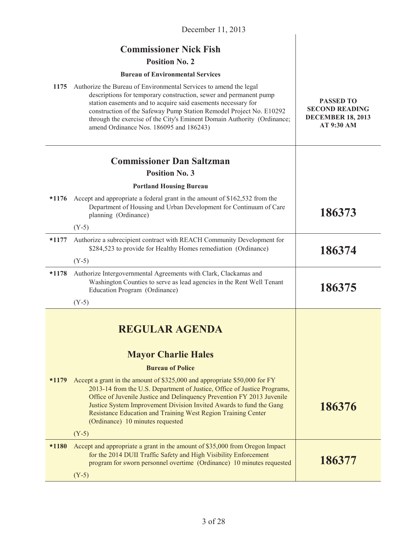| December 11, 2013 |                                                                                                                                                                                                                                                                                                                                                                                                             |                                                                                     |
|-------------------|-------------------------------------------------------------------------------------------------------------------------------------------------------------------------------------------------------------------------------------------------------------------------------------------------------------------------------------------------------------------------------------------------------------|-------------------------------------------------------------------------------------|
|                   | <b>Commissioner Nick Fish</b>                                                                                                                                                                                                                                                                                                                                                                               |                                                                                     |
|                   | <b>Position No. 2</b>                                                                                                                                                                                                                                                                                                                                                                                       |                                                                                     |
|                   | <b>Bureau of Environmental Services</b>                                                                                                                                                                                                                                                                                                                                                                     |                                                                                     |
| 1175              | Authorize the Bureau of Environmental Services to amend the legal<br>descriptions for temporary construction, sewer and permanent pump<br>station easements and to acquire said easements necessary for<br>construction of the Safeway Pump Station Remodel Project No. E10292<br>through the exercise of the City's Eminent Domain Authority (Ordinance;<br>amend Ordinance Nos. 186095 and 186243)        | <b>PASSED TO</b><br><b>SECOND READING</b><br><b>DECEMBER 18, 2013</b><br>AT 9:30 AM |
|                   | <b>Commissioner Dan Saltzman</b>                                                                                                                                                                                                                                                                                                                                                                            |                                                                                     |
|                   | <b>Position No. 3</b>                                                                                                                                                                                                                                                                                                                                                                                       |                                                                                     |
|                   | <b>Portland Housing Bureau</b>                                                                                                                                                                                                                                                                                                                                                                              |                                                                                     |
| $*1176$           | Accept and appropriate a federal grant in the amount of \$162,532 from the<br>Department of Housing and Urban Development for Continuum of Care<br>planning (Ordinance)                                                                                                                                                                                                                                     | 186373                                                                              |
|                   | $(Y-5)$                                                                                                                                                                                                                                                                                                                                                                                                     |                                                                                     |
| $*1177$           | Authorize a subrecipient contract with REACH Community Development for<br>\$284,523 to provide for Healthy Homes remediation (Ordinance)                                                                                                                                                                                                                                                                    | 186374                                                                              |
|                   | $(Y-5)$                                                                                                                                                                                                                                                                                                                                                                                                     |                                                                                     |
| $*1178$           | Authorize Intergovernmental Agreements with Clark, Clackamas and<br>Washington Counties to serve as lead agencies in the Rent Well Tenant<br>Education Program (Ordinance)                                                                                                                                                                                                                                  | 186375                                                                              |
|                   | $(Y-5)$                                                                                                                                                                                                                                                                                                                                                                                                     |                                                                                     |
|                   | <b>REGULAR AGENDA</b><br><b>Mayor Charlie Hales</b>                                                                                                                                                                                                                                                                                                                                                         |                                                                                     |
|                   | <b>Bureau of Police</b>                                                                                                                                                                                                                                                                                                                                                                                     |                                                                                     |
| $*1179$           | Accept a grant in the amount of \$325,000 and appropriate \$50,000 for FY<br>2013-14 from the U.S. Department of Justice, Office of Justice Programs,<br>Office of Juvenile Justice and Delinquency Prevention FY 2013 Juvenile<br>Justice System Improvement Division Invited Awards to fund the Gang<br>Resistance Education and Training West Region Training Center<br>(Ordinance) 10 minutes requested | 186376                                                                              |
|                   | $(Y-5)$                                                                                                                                                                                                                                                                                                                                                                                                     |                                                                                     |
| $*1180$           | Accept and appropriate a grant in the amount of \$35,000 from Oregon Impact<br>for the 2014 DUII Traffic Safety and High Visibility Enforcement<br>program for sworn personnel overtime (Ordinance) 10 minutes requested<br>$(Y-5)$                                                                                                                                                                         | 186377                                                                              |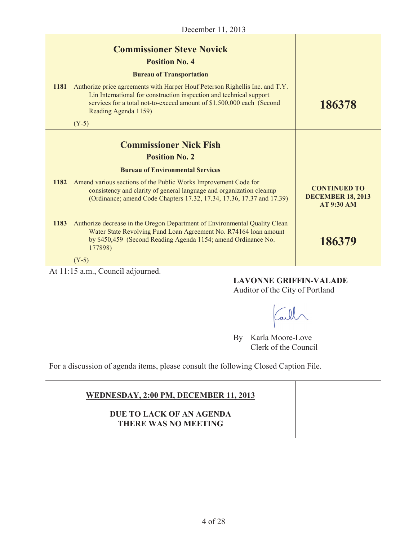|        | December 11, 2013                                                                                                                                                                                                                                    |                                                                      |
|--------|------------------------------------------------------------------------------------------------------------------------------------------------------------------------------------------------------------------------------------------------------|----------------------------------------------------------------------|
|        | <b>Commissioner Steve Novick</b><br><b>Position No. 4</b>                                                                                                                                                                                            |                                                                      |
|        | <b>Bureau of Transportation</b>                                                                                                                                                                                                                      |                                                                      |
| 1181   | Authorize price agreements with Harper Houf Peterson Righellis Inc. and T.Y.<br>Lin International for construction inspection and technical support<br>services for a total not-to-exceed amount of \$1,500,000 each (Second<br>Reading Agenda 1159) | 186378                                                               |
|        | $(Y-5)$                                                                                                                                                                                                                                              |                                                                      |
|        | <b>Commissioner Nick Fish</b><br><b>Position No. 2</b>                                                                                                                                                                                               |                                                                      |
|        | <b>Bureau of Environmental Services</b>                                                                                                                                                                                                              |                                                                      |
| 1182   | Amend various sections of the Public Works Improvement Code for<br>consistency and clarity of general language and organization cleanup<br>(Ordinance; amend Code Chapters 17.32, 17.34, 17.36, 17.37 and 17.39)                                     | <b>CONTINUED TO</b><br><b>DECEMBER 18, 2013</b><br><b>AT 9:30 AM</b> |
| 1183   | Authorize decrease in the Oregon Department of Environmental Quality Clean<br>Water State Revolving Fund Loan Agreement No. R74164 loan amount<br>by \$450,459 (Second Reading Agenda 1154; amend Ordinance No.<br>177898)                           | 186379                                                               |
|        | $(Y-5)$                                                                                                                                                                                                                                              |                                                                      |
| 1.1117 | $11 - 11$<br>$\mathbf{1}$                                                                                                                                                                                                                            |                                                                      |

At 11:15 a.m., Council adjourned.

# **LAVONNE GRIFFIN-VALADE**

Auditor of the City of Portland

Call

By Karla Moore-Love Clerk of the Council

For a discussion of agenda items, please consult the following Closed Caption File.

| WEDNESDAY, 2:00 PM, DECEMBER 11, 2013                   |  |
|---------------------------------------------------------|--|
| DUE TO LACK OF AN AGENDA<br><b>THERE WAS NO MEETING</b> |  |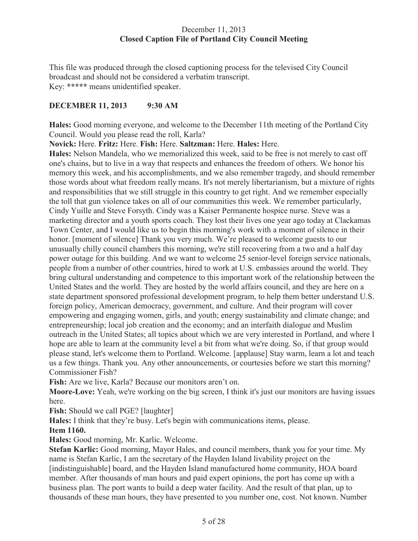## December 11, 2013 **Closed Caption File of Portland City Council Meeting**

This file was produced through the closed captioning process for the televised City Council broadcast and should not be considered a verbatim transcript. Key: **\*\*\*\*\*** means unidentified speaker.

# **DECEMBER 11, 2013 9:30 AM**

**Hales:** Good morning everyone, and welcome to the December 11th meeting of the Portland City Council. Would you please read the roll, Karla?

**Novick:** Here. **Fritz:** Here. **Fish:** Here. **Saltzman:** Here. **Hales:** Here.

**Hales:** Nelson Mandela, who we memorialized this week, said to be free is not merely to cast off one's chains, but to live in a way that respects and enhances the freedom of others. We honor his memory this week, and his accomplishments, and we also remember tragedy, and should remember those words about what freedom really means. It's not merely libertarianism, but a mixture of rights and responsibilities that we still struggle in this country to get right. And we remember especially the toll that gun violence takes on all of our communities this week. We remember particularly, Cindy Yuille and Steve Forsyth. Cindy was a Kaiser Permanente hospice nurse. Steve was a marketing director and a youth sports coach. They lost their lives one year ago today at Clackamas Town Center, and I would like us to begin this morning's work with a moment of silence in their honor. [moment of silence] Thank you very much. We're pleased to welcome guests to our unusually chilly council chambers this morning, we're still recovering from a two and a half day power outage for this building. And we want to welcome 25 senior-level foreign service nationals, people from a number of other countries, hired to work at U.S. embassies around the world. They bring cultural understanding and competence to this important work of the relationship between the United States and the world. They are hosted by the world affairs council, and they are here on a state department sponsored professional development program, to help them better understand U.S. foreign policy, American democracy, government, and culture. And their program will cover empowering and engaging women, girls, and youth; energy sustainability and climate change; and entrepreneurship; local job creation and the economy; and an interfaith dialogue and Muslim outreach in the United States; all topics about which we are very interested in Portland, and where I hope are able to learn at the community level a bit from what we're doing. So, if that group would please stand, let's welcome them to Portland. Welcome. [applause] Stay warm, learn a lot and teach us a few things. Thank you. Any other announcements, or courtesies before we start this morning? Commissioner Fish?

**Fish:** Are we live, Karla? Because our monitors aren't on.

**Moore-Love:** Yeah, we're working on the big screen, I think it's just our monitors are having issues here.

**Fish:** Should we call PGE? [laughter]

**Hales:** I think that they're busy. Let's begin with communications items, please.

#### **Item 1160.**

**Hales:** Good morning, Mr. Karlic. Welcome.

**Stefan Karlic:** Good morning, Mayor Hales, and council members, thank you for your time. My name is Stefan Karlic, I am the secretary of the Hayden Island livability project on the [indistinguishable] board, and the Hayden Island manufactured home community, HOA board member. After thousands of man hours and paid expert opinions, the port has come up with a business plan. The port wants to build a deep water facility. And the result of that plan, up to thousands of these man hours, they have presented to you number one, cost. Not known. Number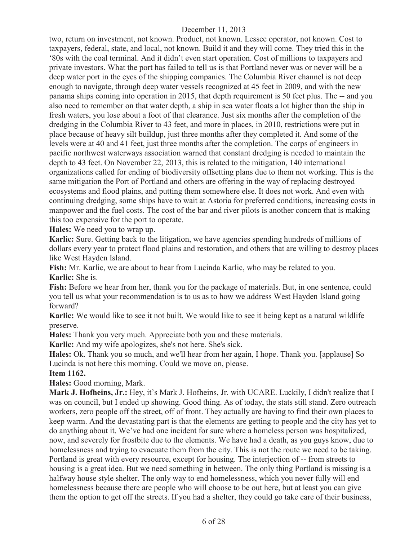two, return on investment, not known. Product, not known. Lessee operator, not known. Cost to taxpayers, federal, state, and local, not known. Build it and they will come. They tried this in the '80s with the coal terminal. And it didn't even start operation. Cost of millions to taxpayers and private investors. What the port has failed to tell us is that Portland never was or never will be a deep water port in the eyes of the shipping companies. The Columbia River channel is not deep enough to navigate, through deep water vessels recognized at 45 feet in 2009, and with the new panama ships coming into operation in 2015, that depth requirement is 50 feet plus. The -- and you also need to remember on that water depth, a ship in sea water floats a lot higher than the ship in fresh waters, you lose about a foot of that clearance. Just six months after the completion of the dredging in the Columbia River to 43 feet, and more in places, in 2010, restrictions were put in place because of heavy silt buildup, just three months after they completed it. And some of the levels were at 40 and 41 feet, just three months after the completion. The corps of engineers in pacific northwest waterways association warned that constant dredging is needed to maintain the depth to 43 feet. On November 22, 2013, this is related to the mitigation, 140 international organizations called for ending of biodiversity offsetting plans due to them not working. This is the same mitigation the Port of Portland and others are offering in the way of replacing destroyed ecosystems and flood plains, and putting them somewhere else. It does not work. And even with continuing dredging, some ships have to wait at Astoria for preferred conditions, increasing costs in manpower and the fuel costs. The cost of the bar and river pilots is another concern that is making this too expensive for the port to operate.

**Hales:** We need you to wrap up.

**Karlic:** Sure. Getting back to the litigation, we have agencies spending hundreds of millions of dollars every year to protect flood plains and restoration, and others that are willing to destroy places like West Hayden Island.

**Fish:** Mr. Karlic, we are about to hear from Lucinda Karlic, who may be related to you. **Karlic:** She is.

**Fish:** Before we hear from her, thank you for the package of materials. But, in one sentence, could you tell us what your recommendation is to us as to how we address West Hayden Island going forward?

**Karlic:** We would like to see it not built. We would like to see it being kept as a natural wildlife preserve.

**Hales:** Thank you very much. Appreciate both you and these materials.

**Karlic:** And my wife apologizes, she's not here. She's sick.

**Hales:** Ok. Thank you so much, and we'll hear from her again, I hope. Thank you. [applause] So Lucinda is not here this morning. Could we move on, please.

#### **Item 1162.**

**Hales:** Good morning, Mark.

**Mark J. Hofheins, Jr.:** Hey, it's Mark J. Hofheins, Jr. with UCARE. Luckily, I didn't realize that I was on council, but I ended up showing. Good thing. As of today, the stats still stand. Zero outreach workers, zero people off the street, off of front. They actually are having to find their own places to keep warm. And the devastating part is that the elements are getting to people and the city has yet to do anything about it. We've had one incident for sure where a homeless person was hospitalized, now, and severely for frostbite due to the elements. We have had a death, as you guys know, due to homelessness and trying to evacuate them from the city. This is not the route we need to be taking. Portland is great with every resource, except for housing. The interjection of -- from streets to housing is a great idea. But we need something in between. The only thing Portland is missing is a halfway house style shelter. The only way to end homelessness, which you never fully will end homelessness because there are people who will choose to be out here, but at least you can give them the option to get off the streets. If you had a shelter, they could go take care of their business,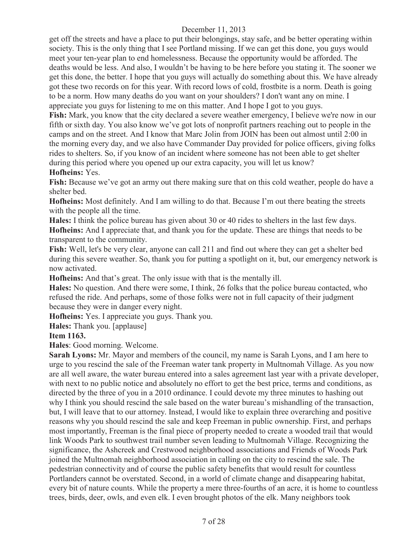get off the streets and have a place to put their belongings, stay safe, and be better operating within society. This is the only thing that I see Portland missing. If we can get this done, you guys would meet your ten-year plan to end homelessness. Because the opportunity would be afforded. The deaths would be less. And also, I wouldn't be having to be here before you stating it. The sooner we get this done, the better. I hope that you guys will actually do something about this. We have already got these two records on for this year. With record lows of cold, frostbite is a norm. Death is going to be a norm. How many deaths do you want on your shoulders? I don't want any on mine. I appreciate you guys for listening to me on this matter. And I hope I got to you guys.

**Fish:** Mark, you know that the city declared a severe weather emergency, I believe we're now in our fifth or sixth day. You also know we've got lots of nonprofit partners reaching out to people in the camps and on the street. And I know that Marc Jolin from JOIN has been out almost until 2:00 in the morning every day, and we also have Commander Day provided for police officers, giving folks rides to shelters. So, if you know of an incident where someone has not been able to get shelter during this period where you opened up our extra capacity, you will let us know?

#### **Hofheins:** Yes.

**Fish:** Because we've got an army out there making sure that on this cold weather, people do have a shelter bed.

**Hofheins:** Most definitely. And I am willing to do that. Because I'm out there beating the streets with the people all the time.

**Hales:** I think the police bureau has given about 30 or 40 rides to shelters in the last few days. **Hofheins:** And I appreciate that, and thank you for the update. These are things that needs to be transparent to the community.

**Fish:** Well, let's be very clear, anyone can call 211 and find out where they can get a shelter bed during this severe weather. So, thank you for putting a spotlight on it, but, our emergency network is now activated.

**Hofheins:** And that's great. The only issue with that is the mentally ill.

**Hales:** No question. And there were some, I think, 26 folks that the police bureau contacted, who refused the ride. And perhaps, some of those folks were not in full capacity of their judgment because they were in danger every night.

**Hofheins:** Yes. I appreciate you guys. Thank you.

**Hales:** Thank you. [applause]

#### **Item 1163.**

**Hales**: Good morning. Welcome.

**Sarah Lyons:** Mr. Mayor and members of the council, my name is Sarah Lyons, and I am here to urge to you rescind the sale of the Freeman water tank property in Multnomah Village. As you now are all well aware, the water bureau entered into a sales agreement last year with a private developer, with next to no public notice and absolutely no effort to get the best price, terms and conditions, as directed by the three of you in a 2010 ordinance. I could devote my three minutes to hashing out why I think you should rescind the sale based on the water bureau's mishandling of the transaction, but, I will leave that to our attorney. Instead, I would like to explain three overarching and positive reasons why you should rescind the sale and keep Freeman in public ownership. First, and perhaps most importantly, Freeman is the final piece of property needed to create a wooded trail that would link Woods Park to southwest trail number seven leading to Multnomah Village. Recognizing the significance, the Ashcreek and Crestwood neighborhood associations and Friends of Woods Park joined the Multnomah neighborhood association in calling on the city to rescind the sale. The pedestrian connectivity and of course the public safety benefits that would result for countless Portlanders cannot be overstated. Second, in a world of climate change and disappearing habitat, every bit of nature counts. While the property a mere three-fourths of an acre, it is home to countless trees, birds, deer, owls, and even elk. I even brought photos of the elk. Many neighbors took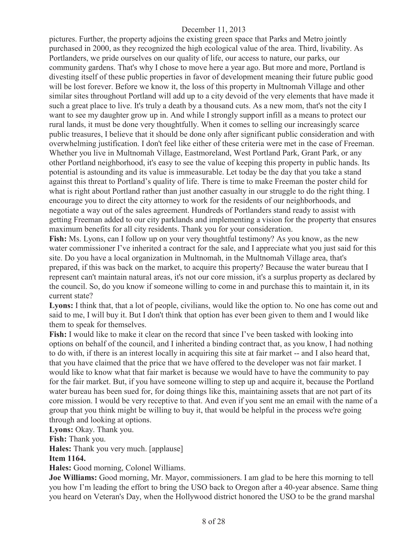pictures. Further, the property adjoins the existing green space that Parks and Metro jointly purchased in 2000, as they recognized the high ecological value of the area. Third, livability. As Portlanders, we pride ourselves on our quality of life, our access to nature, our parks, our community gardens. That's why I chose to move here a year ago. But more and more, Portland is divesting itself of these public properties in favor of development meaning their future public good will be lost forever. Before we know it, the loss of this property in Multnomah Village and other similar sites throughout Portland will add up to a city devoid of the very elements that have made it such a great place to live. It's truly a death by a thousand cuts. As a new mom, that's not the city I want to see my daughter grow up in. And while I strongly support infill as a means to protect our rural lands, it must be done very thoughtfully. When it comes to selling our increasingly scarce public treasures, I believe that it should be done only after significant public consideration and with overwhelming justification. I don't feel like either of these criteria were met in the case of Freeman. Whether you live in Multnomah Village, Eastmoreland, West Portland Park, Grant Park, or any other Portland neighborhood, it's easy to see the value of keeping this property in public hands. Its potential is astounding and its value is immeasurable. Let today be the day that you take a stand against this threat to Portland's quality of life. There is time to make Freeman the poster child for what is right about Portland rather than just another casualty in our struggle to do the right thing. I encourage you to direct the city attorney to work for the residents of our neighborhoods, and negotiate a way out of the sales agreement. Hundreds of Portlanders stand ready to assist with getting Freeman added to our city parklands and implementing a vision for the property that ensures maximum benefits for all city residents. Thank you for your consideration.

**Fish:** Ms. Lyons, can I follow up on your very thoughtful testimony? As you know, as the new water commissioner I've inherited a contract for the sale, and I appreciate what you just said for this site. Do you have a local organization in Multnomah, in the Multnomah Village area, that's prepared, if this was back on the market, to acquire this property? Because the water bureau that I represent can't maintain natural areas, it's not our core mission, it's a surplus property as declared by the council. So, do you know if someone willing to come in and purchase this to maintain it, in its current state?

Lyons: I think that, that a lot of people, civilians, would like the option to. No one has come out and said to me, I will buy it. But I don't think that option has ever been given to them and I would like them to speak for themselves.

**Fish:** I would like to make it clear on the record that since I've been tasked with looking into options on behalf of the council, and I inherited a binding contract that, as you know, I had nothing to do with, if there is an interest locally in acquiring this site at fair market -- and I also heard that, that you have claimed that the price that we have offered to the developer was not fair market. I would like to know what that fair market is because we would have to have the community to pay for the fair market. But, if you have someone willing to step up and acquire it, because the Portland water bureau has been sued for, for doing things like this, maintaining assets that are not part of its core mission. I would be very receptive to that. And even if you sent me an email with the name of a group that you think might be willing to buy it, that would be helpful in the process we're going through and looking at options.

**Lyons:** Okay. Thank you.

**Fish:** Thank you.

**Hales:** Thank you very much. [applause]

#### **Item 1164.**

**Hales:** Good morning, Colonel Williams.

**Joe Williams:** Good morning, Mr. Mayor, commissioners. I am glad to be here this morning to tell you how I'm leading the effort to bring the USO back to Oregon after a 40-year absence. Same thing you heard on Veteran's Day, when the Hollywood district honored the USO to be the grand marshal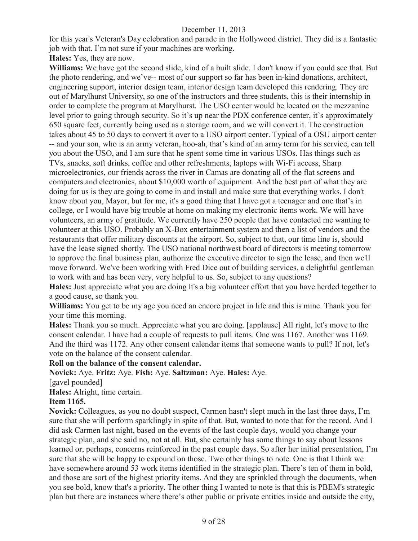for this year's Veteran's Day celebration and parade in the Hollywood district. They did is a fantastic job with that. I'm not sure if your machines are working.

**Hales:** Yes, they are now.

**Williams:** We have got the second slide, kind of a built slide. I don't know if you could see that. But the photo rendering, and we've-- most of our support so far has been in-kind donations, architect, engineering support, interior design team, interior design team developed this rendering. They are out of Marylhurst University, so one of the instructors and three students, this is their internship in order to complete the program at Marylhurst. The USO center would be located on the mezzanine level prior to going through security. So it's up near the PDX conference center, it's approximately 650 square feet, currently being used as a storage room, and we will convert it. The construction takes about 45 to 50 days to convert it over to a USO airport center. Typical of a OSU airport center -- and your son, who is an army veteran, hoo-ah, that's kind of an army term for his service, can tell you about the USO, and I am sure that he spent some time in various USOs. Has things such as TVs, snacks, soft drinks, coffee and other refreshments, laptops with Wi-Fi access, Sharp microelectronics, our friends across the river in Camas are donating all of the flat screens and computers and electronics, about \$10,000 worth of equipment. And the best part of what they are doing for us is they are going to come in and install and make sure that everything works. I don't know about you, Mayor, but for me, it's a good thing that I have got a teenager and one that's in college, or I would have big trouble at home on making my electronic items work. We will have volunteers, an army of gratitude. We currently have 250 people that have contacted me wanting to volunteer at this USO. Probably an X-Box entertainment system and then a list of vendors and the restaurants that offer military discounts at the airport. So, subject to that, our time line is, should have the lease signed shortly. The USO national northwest board of directors is meeting tomorrow to approve the final business plan, authorize the executive director to sign the lease, and then we'll move forward. We've been working with Fred Dice out of building services, a delightful gentleman to work with and has been very, very helpful to us. So, subject to any questions?

**Hales:** Just appreciate what you are doing It's a big volunteer effort that you have herded together to a good cause, so thank you.

**Williams:** You get to be my age you need an encore project in life and this is mine. Thank you for your time this morning.

**Hales:** Thank you so much. Appreciate what you are doing. [applause] All right, let's move to the consent calendar. I have had a couple of requests to pull items. One was 1167. Another was 1169. And the third was 1172. Any other consent calendar items that someone wants to pull? If not, let's vote on the balance of the consent calendar.

#### **Roll on the balance of the consent calendar.**

**Novick:** Aye. **Fritz:** Aye. **Fish:** Aye. **Saltzman:** Aye. **Hales:** Aye.

[gavel pounded]

**Hales:** Alright, time certain.

## **Item 1165.**

**Novick:** Colleagues, as you no doubt suspect, Carmen hasn't slept much in the last three days, I'm sure that she will perform sparklingly in spite of that. But, wanted to note that for the record. And I did ask Carmen last night, based on the events of the last couple days, would you change your strategic plan, and she said no, not at all. But, she certainly has some things to say about lessons learned or, perhaps, concerns reinforced in the past couple days. So after her initial presentation, I'm sure that she will be happy to expound on those. Two other things to note. One is that I think we have somewhere around 53 work items identified in the strategic plan. There's ten of them in bold, and those are sort of the highest priority items. And they are sprinkled through the documents, when you see bold, know that's a priority. The other thing I wanted to note is that this is PBEM's strategic plan but there are instances where there's other public or private entities inside and outside the city,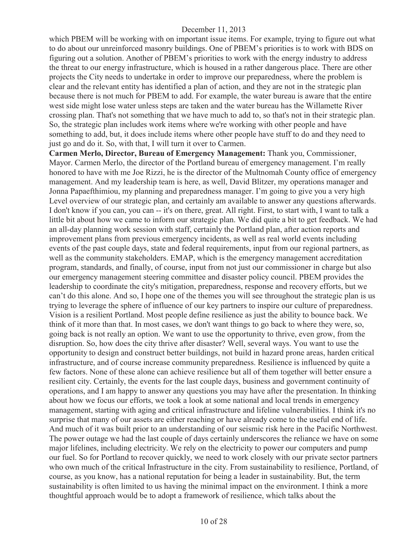which PBEM will be working with on important issue items. For example, trying to figure out what to do about our unreinforced masonry buildings. One of PBEM's priorities is to work with BDS on figuring out a solution. Another of PBEM's priorities to work with the energy industry to address the threat to our energy infrastructure, which is housed in a rather dangerous place. There are other projects the City needs to undertake in order to improve our preparedness, where the problem is clear and the relevant entity has identified a plan of action, and they are not in the strategic plan because there is not much for PBEM to add. For example, the water bureau is aware that the entire west side might lose water unless steps are taken and the water bureau has the Willamette River crossing plan. That's not something that we have much to add to, so that's not in their strategic plan. So, the strategic plan includes work items where we're working with other people and have something to add, but, it does include items where other people have stuff to do and they need to just go and do it. So, with that, I will turn it over to Carmen.

**Carmen Merlo, Director, Bureau of Emergency Management:** Thank you, Commissioner, Mayor. Carmen Merlo, the director of the Portland bureau of emergency management. I'm really honored to have with me Joe Rizzi, he is the director of the Multnomah County office of emergency management. And my leadership team is here, as well, David Blitzer, my operations manager and Jonna Papaefthimiou, my planning and preparedness manager. I'm going to give you a very high Level overview of our strategic plan, and certainly am available to answer any questions afterwards. I don't know if you can, you can -- it's on there, great. All right. First, to start with, I want to talk a little bit about how we came to inform our strategic plan. We did quite a bit to get feedback. We had an all-day planning work session with staff, certainly the Portland plan, after action reports and improvement plans from previous emergency incidents, as well as real world events including events of the past couple days, state and federal requirements, input from our regional partners, as well as the community stakeholders. EMAP, which is the emergency management accreditation program, standards, and finally, of course, input from not just our commissioner in charge but also our emergency management steering committee and disaster policy council. PBEM provides the leadership to coordinate the city's mitigation, preparedness, response and recovery efforts, but we can't do this alone. And so, I hope one of the themes you will see throughout the strategic plan is us trying to leverage the sphere of influence of our key partners to inspire our culture of preparedness. Vision is a resilient Portland. Most people define resilience as just the ability to bounce back. We think of it more than that. In most cases, we don't want things to go back to where they were, so, going back is not really an option. We want to use the opportunity to thrive, even grow, from the disruption. So, how does the city thrive after disaster? Well, several ways. You want to use the opportunity to design and construct better buildings, not build in hazard prone areas, harden critical infrastructure, and of course increase community preparedness. Resilience is influenced by quite a few factors. None of these alone can achieve resilience but all of them together will better ensure a resilient city. Certainly, the events for the last couple days, business and government continuity of operations, and I am happy to answer any questions you may have after the presentation. In thinking about how we focus our efforts, we took a look at some national and local trends in emergency management, starting with aging and critical infrastructure and lifeline vulnerabilities. I think it's no surprise that many of our assets are either reaching or have already come to the useful end of life. And much of it was built prior to an understanding of our seismic risk here in the Pacific Northwest. The power outage we had the last couple of days certainly underscores the reliance we have on some major lifelines, including electricity. We rely on the electricity to power our computers and pump our fuel. So for Portland to recover quickly, we need to work closely with our private sector partners who own much of the critical Infrastructure in the city. From sustainability to resilience, Portland, of course, as you know, has a national reputation for being a leader in sustainability. But, the term sustainability is often limited to us having the minimal impact on the environment. I think a more thoughtful approach would be to adopt a framework of resilience, which talks about the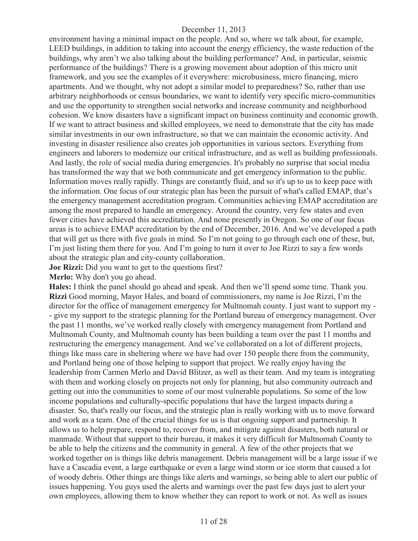environment having a minimal impact on the people. And so, where we talk about, for example, LEED buildings, in addition to taking into account the energy efficiency, the waste reduction of the buildings, why aren't we also talking about the building performance? And, in particular, seismic performance of the buildings? There is a growing movement about adoption of this micro unit framework, and you see the examples of it everywhere: microbusiness, micro financing, micro apartments. And we thought, why not adopt a similar model to preparedness? So, rather than use arbitrary neighborhoods or census boundaries, we want to identify very specific micro-communities and use the opportunity to strengthen social networks and increase community and neighborhood cohesion. We know disasters have a significant impact on business continuity and economic growth. If we want to attract business and skilled employees, we need to demonstrate that the city has made similar investments in our own infrastructure, so that we can maintain the economic activity. And investing in disaster resilience also creates job opportunities in various sectors. Everything from engineers and laborers to modernize our critical infrastructure, and as well as building professionals. And lastly, the role of social media during emergencies. It's probably no surprise that social media has transformed the way that we both communicate and get emergency information to the public. Information moves really rapidly. Things are constantly fluid, and so it's up to us to keep pace with the information. One focus of our strategic plan has been the pursuit of what's called EMAP, that's the emergency management accreditation program. Communities achieving EMAP accreditation are among the most prepared to handle an emergency. Around the country, very few states and even fewer cities have achieved this accreditation. And none presently in Oregon. So one of our focus areas is to achieve EMAP accreditation by the end of December, 2016. And we've developed a path that will get us there with five goals in mind. So I'm not going to go through each one of these, but, I'm just listing them there for you. And I'm going to turn it over to Joe Rizzi to say a few words about the strategic plan and city-county collaboration.

**Joe Rizzi:** Did you want to get to the questions first?

**Merlo:** Why don't you go ahead.

**Hales:** I think the panel should go ahead and speak. And then we'll spend some time. Thank you. **Rizzi** Good morning, Mayor Hales, and board of commissioners, my name is Joe Rizzi, I'm the director for the office of management emergency for Multnomah county. I just want to support my - - give my support to the strategic planning for the Portland bureau of emergency management. Over the past 11 months, we've worked really closely with emergency management from Portland and Multnomah County, and Multnomah county has been building a team over the past 11 months and restructuring the emergency management. And we've collaborated on a lot of different projects, things like mass care in sheltering where we have had over 150 people there from the community, and Portland being one of those helping to support that project. We really enjoy having the leadership from Carmen Merlo and David Blitzer, as well as their team. And my team is integrating with them and working closely on projects not only for planning, but also community outreach and getting out into the communities to some of our most vulnerable populations. So some of the low income populations and culturally-specific populations that have the largest impacts during a disaster. So, that's really our focus, and the strategic plan is really working with us to move forward and work as a team. One of the crucial things for us is that ongoing support and partnership. It allows us to help prepare, respond to, recover from, and mitigate against disasters, both natural or manmade. Without that support to their bureau, it makes it very difficult for Multnomah County to be able to help the citizens and the community in general. A few of the other projects that we worked together on is things like debris management. Debris management will be a large issue if we have a Cascadia event, a large earthquake or even a large wind storm or ice storm that caused a lot of woody debris. Other things are things like alerts and warnings, so being able to alert our public of issues happening. You guys used the alerts and warnings over the past few days just to alert your own employees, allowing them to know whether they can report to work or not. As well as issues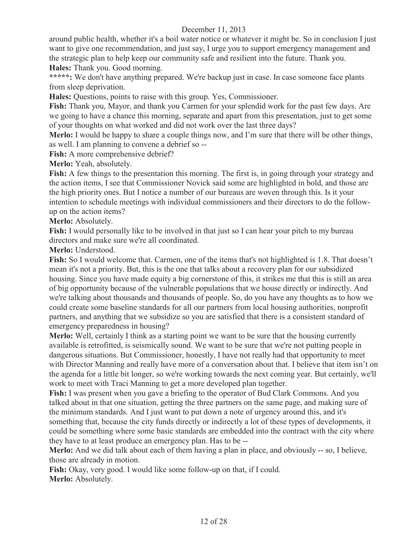around public health, whether it's a boil water notice or whatever it might be. So in conclusion I just want to give one recommendation, and just say, I urge you to support emergency management and the strategic plan to help keep our community safe and resilient into the future. Thank you. **Hales:** Thank you. Good morning.

\*\*\*\*\*: We don't have anything prepared. We're backup just in case. In case someone face plants from sleep deprivation.

**Hales:** Questions, points to raise with this group. Yes, Commissioner.

**Fish:** Thank you, Mayor, and thank you Carmen for your splendid work for the past few days. Are we going to have a chance this morning, separate and apart from this presentation, just to get some of your thoughts on what worked and did not work over the last three days?

**Merlo:** I would be happy to share a couple things now, and I'm sure that there will be other things, as well. I am planning to convene a debrief so --

**Fish:** A more comprehensive debrief?

**Merlo:** Yeah, absolutely.

**Fish:** A few things to the presentation this morning. The first is, in going through your strategy and the action items, I see that Commissioner Novick said some are highlighted in bold, and those are the high priority ones. But I notice a number of our bureaus are woven through this. Is it your intention to schedule meetings with individual commissioners and their directors to do the followup on the action items?

Merlo: Absolutely.

**Fish:** I would personally like to be involved in that just so I can hear your pitch to my bureau directors and make sure we're all coordinated.

**Merlo:** Understood.

**Fish:** So I would welcome that. Carmen, one of the items that's not highlighted is 1.8. That doesn't mean it's not a priority. But, this is the one that talks about a recovery plan for our subsidized housing. Since you have made equity a big cornerstone of this, it strikes me that this is still an area of big opportunity because of the vulnerable populations that we house directly or indirectly. And we're talking about thousands and thousands of people. So, do you have any thoughts as to how we could create some baseline standards for all our partners from local housing authorities, nonprofit partners, and anything that we subsidize so you are satisfied that there is a consistent standard of emergency preparedness in housing?

**Merlo:** Well, certainly I think as a starting point we want to be sure that the housing currently available is retrofitted, is seismically sound. We want to be sure that we're not putting people in dangerous situations. But Commissioner, honestly, I have not really had that opportunity to meet with Director Manning and really have more of a conversation about that. I believe that item isn't on the agenda for a little bit longer, so we're working towards the next coming year. But certainly, we'll work to meet with Traci Manning to get a more developed plan together.

**Fish:** I was present when you gave a briefing to the operator of Bud Clark Commons. And you talked about in that one situation, getting the three partners on the same page, and making sure of the minimum standards. And I just want to put down a note of urgency around this, and it's something that, because the city funds directly or indirectly a lot of these types of developments, it could be something where some basic standards are embedded into the contract with the city where they have to at least produce an emergency plan. Has to be --

**Merlo:** And we did talk about each of them having a plan in place, and obviously -- so, I believe, those are already in motion.

**Fish:** Okay, very good. I would like some follow-up on that, if I could. Merlo: Absolutely.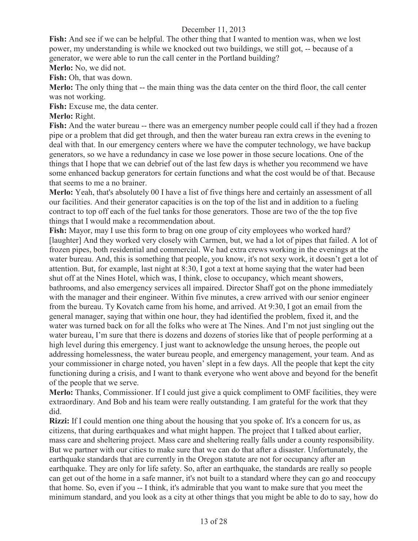**Fish:** And see if we can be helpful. The other thing that I wanted to mention was, when we lost power, my understanding is while we knocked out two buildings, we still got, -- because of a generator, we were able to run the call center in the Portland building?

**Merlo:** No, we did not.

**Fish:** Oh, that was down.

**Merlo:** The only thing that -- the main thing was the data center on the third floor, the call center was not working.

**Fish:** Excuse me, the data center.

## **Merlo:** Right.

**Fish:** And the water bureau -- there was an emergency number people could call if they had a frozen pipe or a problem that did get through, and then the water bureau ran extra crews in the evening to deal with that. In our emergency centers where we have the computer technology, we have backup generators, so we have a redundancy in case we lose power in those secure locations. One of the things that I hope that we can debrief out of the last few days is whether you recommend we have some enhanced backup generators for certain functions and what the cost would be of that. Because that seems to me a no brainer.

**Merlo:** Yeah, that's absolutely 00 I have a list of five things here and certainly an assessment of all our facilities. And their generator capacities is on the top of the list and in addition to a fueling contract to top off each of the fuel tanks for those generators. Those are two of the the top five things that I would make a recommendation about.

**Fish:** Mayor, may I use this form to brag on one group of city employees who worked hard? [laughter] And they worked very closely with Carmen, but, we had a lot of pipes that failed. A lot of frozen pipes, both residential and commercial. We had extra crews working in the evenings at the water bureau. And, this is something that people, you know, it's not sexy work, it doesn't get a lot of attention. But, for example, last night at 8:30, I got a text at home saying that the water had been shut off at the Nines Hotel, which was, I think, close to occupancy, which meant showers, bathrooms, and also emergency services all impaired. Director Shaff got on the phone immediately with the manager and their engineer. Within five minutes, a crew arrived with our senior engineer from the bureau. Ty Kovatch came from his home, and arrived. At 9:30, I got an email from the general manager, saying that within one hour, they had identified the problem, fixed it, and the water was turned back on for all the folks who were at The Nines. And I'm not just singling out the water bureau, I'm sure that there is dozens and dozens of stories like that of people performing at a high level during this emergency. I just want to acknowledge the unsung heroes, the people out addressing homelessness, the water bureau people, and emergency management, your team. And as your commissioner in charge noted, you haven' slept in a few days. All the people that kept the city functioning during a crisis, and I want to thank everyone who went above and beyond for the benefit of the people that we serve.

**Merlo:** Thanks, Commissioner. If I could just give a quick compliment to OMF facilities, they were extraordinary. And Bob and his team were really outstanding. I am grateful for the work that they did.

**Rizzi:** If I could mention one thing about the housing that you spoke of. It's a concern for us, as citizens, that during earthquakes and what might happen. The project that I talked about earlier, mass care and sheltering project. Mass care and sheltering really falls under a county responsibility. But we partner with our cities to make sure that we can do that after a disaster. Unfortunately, the earthquake standards that are currently in the Oregon statute are not for occupancy after an earthquake. They are only for life safety. So, after an earthquake, the standards are really so people can get out of the home in a safe manner, it's not built to a standard where they can go and reoccupy that home. So, even if you -- I think, it's admirable that you want to make sure that you meet the minimum standard, and you look as a city at other things that you might be able to do to say, how do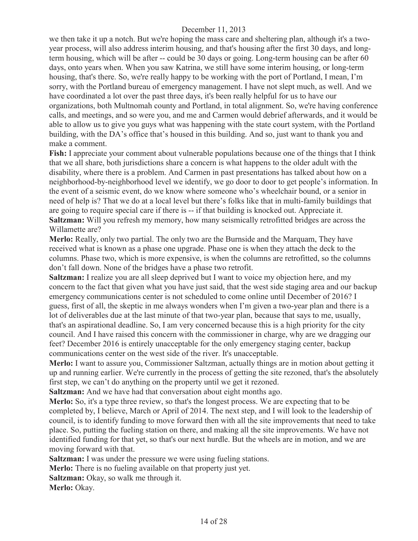we then take it up a notch. But we're hoping the mass care and sheltering plan, although it's a twoyear process, will also address interim housing, and that's housing after the first 30 days, and longterm housing, which will be after -- could be 30 days or going. Long-term housing can be after 60 days, onto years when. When you saw Katrina, we still have some interim housing, or long-term housing, that's there. So, we're really happy to be working with the port of Portland, I mean, I'm sorry, with the Portland bureau of emergency management. I have not slept much, as well. And we have coordinated a lot over the past three days, it's been really helpful for us to have our organizations, both Multnomah county and Portland, in total alignment. So, we're having conference calls, and meetings, and so were you, and me and Carmen would debrief afterwards, and it would be able to allow us to give you guys what was happening with the state court system, with the Portland building, with the DA's office that's housed in this building. And so, just want to thank you and make a comment.

**Fish:** I appreciate your comment about vulnerable populations because one of the things that I think that we all share, both jurisdictions share a concern is what happens to the older adult with the disability, where there is a problem. And Carmen in past presentations has talked about how on a neighborhood-by-neighborhood level we identify, we go door to door to get people's information. In the event of a seismic event, do we know where someone who's wheelchair bound, or a senior in need of help is? That we do at a local level but there's folks like that in multi-family buildings that are going to require special care if there is -- if that building is knocked out. Appreciate it. **Saltzman:** Will you refresh my memory, how many seismically retrofitted bridges are across the Willamette are?

**Merlo:** Really, only two partial. The only two are the Burnside and the Marquam, They have received what is known as a phase one upgrade. Phase one is when they attach the deck to the columns. Phase two, which is more expensive, is when the columns are retrofitted, so the columns don't fall down. None of the bridges have a phase two retrofit.

**Saltzman:** I realize you are all sleep deprived but I want to voice my objection here, and my concern to the fact that given what you have just said, that the west side staging area and our backup emergency communications center is not scheduled to come online until December of 2016? I guess, first of all, the skeptic in me always wonders when I'm given a two-year plan and there is a lot of deliverables due at the last minute of that two-year plan, because that says to me, usually, that's an aspirational deadline. So, I am very concerned because this is a high priority for the city council. And I have raised this concern with the commissioner in charge, why are we dragging our feet? December 2016 is entirely unacceptable for the only emergency staging center, backup communications center on the west side of the river. It's unacceptable.

**Merlo:** I want to assure you, Commissioner Saltzman, actually things are in motion about getting it up and running earlier. We're currently in the process of getting the site rezoned, that's the absolutely first step, we can't do anything on the property until we get it rezoned.

**Saltzman:** And we have had that conversation about eight months ago.

**Merlo:** So, it's a type three review, so that's the longest process. We are expecting that to be completed by, I believe, March or April of 2014. The next step, and I will look to the leadership of council, is to identify funding to move forward then with all the site improvements that need to take place. So, putting the fueling station on there, and making all the site improvements. We have not identified funding for that yet, so that's our next hurdle. But the wheels are in motion, and we are moving forward with that.

**Saltzman:** I was under the pressure we were using fueling stations.

**Merlo:** There is no fueling available on that property just yet.

**Saltzman:** Okay, so walk me through it.

**Merlo:** Okay.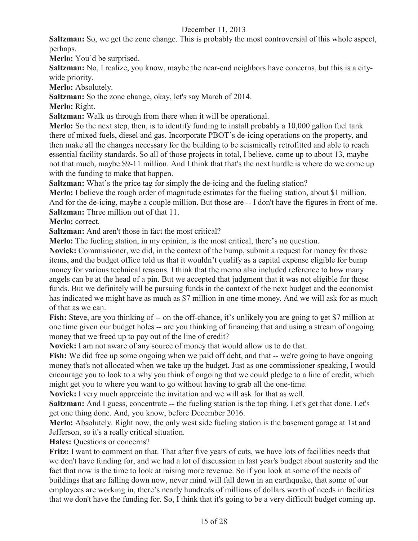**Saltzman:** So, we get the zone change. This is probably the most controversial of this whole aspect, perhaps.

**Merlo:** You'd be surprised.

**Saltzman:** No, I realize, you know, maybe the near-end neighbors have concerns, but this is a citywide priority.

Merlo: Absolutely.

**Saltzman:** So the zone change, okay, let's say March of 2014.

**Merlo:** Right.

**Saltzman:** Walk us through from there when it will be operational.

**Merlo:** So the next step, then, is to identify funding to install probably a 10,000 gallon fuel tank there of mixed fuels, diesel and gas. Incorporate PBOT's de-icing operations on the property, and then make all the changes necessary for the building to be seismically retrofitted and able to reach essential facility standards. So all of those projects in total, I believe, come up to about 13, maybe not that much, maybe \$9-11 million. And I think that that's the next hurdle is where do we come up with the funding to make that happen.

**Saltzman:** What's the price tag for simply the de-icing and the fueling station?

**Merlo:** I believe the rough order of magnitude estimates for the fueling station, about \$1 million. And for the de-icing, maybe a couple million. But those are -- I don't have the figures in front of me. **Saltzman:** Three million out of that 11.

**Merlo:** correct.

**Saltzman:** And aren't those in fact the most critical?

**Merlo:** The fueling station, in my opinion, is the most critical, there's no question.

**Novick:** Commissioner, we did, in the context of the bump, submit a request for money for those items, and the budget office told us that it wouldn't qualify as a capital expense eligible for bump money for various technical reasons. I think that the memo also included reference to how many angels can be at the head of a pin. But we accepted that judgment that it was not eligible for those funds. But we definitely will be pursuing funds in the context of the next budget and the economist has indicated we might have as much as \$7 million in one-time money. And we will ask for as much of that as we can.

**Fish:** Steve, are you thinking of -- on the off-chance, it's unlikely you are going to get \$7 million at one time given our budget holes -- are you thinking of financing that and using a stream of ongoing money that we freed up to pay out of the line of credit?

**Novick:** I am not aware of any source of money that would allow us to do that.

Fish: We did free up some ongoing when we paid off debt, and that -- we're going to have ongoing money that's not allocated when we take up the budget. Just as one commissioner speaking, I would encourage you to look to a why you think of ongoing that we could pledge to a line of credit, which might get you to where you want to go without having to grab all the one-time.

**Novick:** I very much appreciate the invitation and we will ask for that as well.

**Saltzman:** And I guess, concentrate -- the fueling station is the top thing. Let's get that done. Let's get one thing done. And, you know, before December 2016.

**Merlo:** Absolutely. Right now, the only west side fueling station is the basement garage at 1st and Jefferson, so it's a really critical situation.

**Hales:** Questions or concerns?

**Fritz:** I want to comment on that. That after five years of cuts, we have lots of facilities needs that we don't have funding for, and we had a lot of discussion in last year's budget about austerity and the fact that now is the time to look at raising more revenue. So if you look at some of the needs of buildings that are falling down now, never mind will fall down in an earthquake, that some of our employees are working in, there's nearly hundreds of millions of dollars worth of needs in facilities that we don't have the funding for. So, I think that it's going to be a very difficult budget coming up.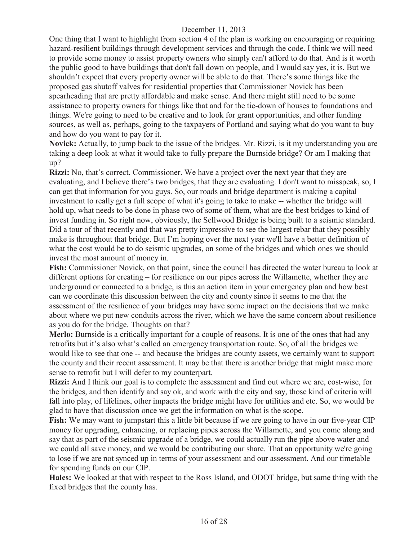One thing that I want to highlight from section 4 of the plan is working on encouraging or requiring hazard-resilient buildings through development services and through the code. I think we will need to provide some money to assist property owners who simply can't afford to do that. And is it worth the public good to have buildings that don't fall down on people, and I would say yes, it is. But we shouldn't expect that every property owner will be able to do that. There's some things like the proposed gas shutoff valves for residential properties that Commissioner Novick has been spearheading that are pretty affordable and make sense. And there might still need to be some assistance to property owners for things like that and for the tie-down of houses to foundations and things. We're going to need to be creative and to look for grant opportunities, and other funding sources, as well as, perhaps, going to the taxpayers of Portland and saying what do you want to buy and how do you want to pay for it.

**Novick:** Actually, to jump back to the issue of the bridges. Mr. Rizzi, is it my understanding you are taking a deep look at what it would take to fully prepare the Burnside bridge? Or am I making that up?

**Rizzi:** No, that's correct, Commissioner. We have a project over the next year that they are evaluating, and I believe there's two bridges, that they are evaluating. I don't want to misspeak, so, I can get that information for you guys. So, our roads and bridge department is making a capital investment to really get a full scope of what it's going to take to make -- whether the bridge will hold up, what needs to be done in phase two of some of them, what are the best bridges to kind of invest funding in. So right now, obviously, the Sellwood Bridge is being built to a seismic standard. Did a tour of that recently and that was pretty impressive to see the largest rebar that they possibly make is throughout that bridge. But I'm hoping over the next year we'll have a better definition of what the cost would be to do seismic upgrades, on some of the bridges and which ones we should invest the most amount of money in.

**Fish:** Commissioner Novick, on that point, since the council has directed the water bureau to look at different options for creating – for resilience on our pipes across the Willamette, whether they are underground or connected to a bridge, is this an action item in your emergency plan and how best can we coordinate this discussion between the city and county since it seems to me that the assessment of the resilience of your bridges may have some impact on the decisions that we make about where we put new conduits across the river, which we have the same concern about resilience as you do for the bridge. Thoughts on that?

**Merlo:** Burnside is a critically important for a couple of reasons. It is one of the ones that had any retrofits but it's also what's called an emergency transportation route. So, of all the bridges we would like to see that one -- and because the bridges are county assets, we certainly want to support the county and their recent assessment. It may be that there is another bridge that might make more sense to retrofit but I will defer to my counterpart.

**Rizzi:** And I think our goal is to complete the assessment and find out where we are, cost-wise, for the bridges, and then identify and say ok, and work with the city and say, those kind of criteria will fall into play, of lifelines, other impacts the bridge might have for utilities and etc. So, we would be glad to have that discussion once we get the information on what is the scope.

**Fish:** We may want to jumpstart this a little bit because if we are going to have in our five-year CIP money for upgrading, enhancing, or replacing pipes across the Willamette, and you come along and say that as part of the seismic upgrade of a bridge, we could actually run the pipe above water and we could all save money, and we would be contributing our share. That an opportunity we're going to lose if we are not synced up in terms of your assessment and our assessment. And our timetable for spending funds on our CIP.

**Hales:** We looked at that with respect to the Ross Island, and ODOT bridge, but same thing with the fixed bridges that the county has.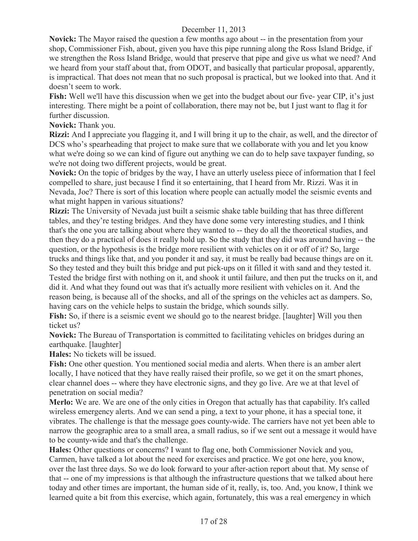**Novick:** The Mayor raised the question a few months ago about -- in the presentation from your shop, Commissioner Fish, about, given you have this pipe running along the Ross Island Bridge, if we strengthen the Ross Island Bridge, would that preserve that pipe and give us what we need? And we heard from your staff about that, from ODOT, and basically that particular proposal, apparently, is impractical. That does not mean that no such proposal is practical, but we looked into that. And it doesn't seem to work.

**Fish:** Well we'll have this discussion when we get into the budget about our five- year CIP, it's just interesting. There might be a point of collaboration, there may not be, but I just want to flag it for further discussion.

**Novick:** Thank you.

**Rizzi:** And I appreciate you flagging it, and I will bring it up to the chair, as well, and the director of DCS who's spearheading that project to make sure that we collaborate with you and let you know what we're doing so we can kind of figure out anything we can do to help save taxpayer funding, so we're not doing two different projects, would be great.

**Novick:** On the topic of bridges by the way, I have an utterly useless piece of information that I feel compelled to share, just because I find it so entertaining, that I heard from Mr. Rizzi. Was it in Nevada, Joe? There is sort of this location where people can actually model the seismic events and what might happen in various situations?

**Rizzi:** The University of Nevada just built a seismic shake table building that has three different tables, and they're testing bridges. And they have done some very interesting studies, and I think that's the one you are talking about where they wanted to -- they do all the theoretical studies, and then they do a practical of does it really hold up. So the study that they did was around having -- the question, or the hypothesis is the bridge more resilient with vehicles on it or off of it? So, large trucks and things like that, and you ponder it and say, it must be really bad because things are on it. So they tested and they built this bridge and put pick-ups on it filled it with sand and they tested it. Tested the bridge first with nothing on it, and shook it until failure, and then put the trucks on it, and did it. And what they found out was that it's actually more resilient with vehicles on it. And the reason being, is because all of the shocks, and all of the springs on the vehicles act as dampers. So, having cars on the vehicle helps to sustain the bridge, which sounds silly.

**Fish:** So, if there is a seismic event we should go to the nearest bridge. [laughter] Will you then ticket us?

**Novick:** The Bureau of Transportation is committed to facilitating vehicles on bridges during an earthquake. [laughter]

**Hales:** No tickets will be issued.

**Fish:** One other question. You mentioned social media and alerts. When there is an amber alert locally, I have noticed that they have really raised their profile, so we get it on the smart phones, clear channel does -- where they have electronic signs, and they go live. Are we at that level of penetration on social media?

**Merlo:** We are. We are one of the only cities in Oregon that actually has that capability. It's called wireless emergency alerts. And we can send a ping, a text to your phone, it has a special tone, it vibrates. The challenge is that the message goes county-wide. The carriers have not yet been able to narrow the geographic area to a small area, a small radius, so if we sent out a message it would have to be county-wide and that's the challenge.

**Hales:** Other questions or concerns? I want to flag one, both Commissioner Novick and you, Carmen, have talked a lot about the need for exercises and practice. We got one here, you know, over the last three days. So we do look forward to your after-action report about that. My sense of that -- one of my impressions is that although the infrastructure questions that we talked about here today and other times are important, the human side of it, really, is, too. And, you know, I think we learned quite a bit from this exercise, which again, fortunately, this was a real emergency in which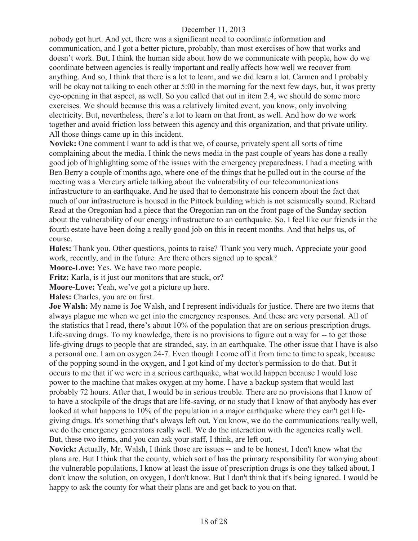nobody got hurt. And yet, there was a significant need to coordinate information and communication, and I got a better picture, probably, than most exercises of how that works and doesn't work. But, I think the human side about how do we communicate with people, how do we coordinate between agencies is really important and really affects how well we recover from anything. And so, I think that there is a lot to learn, and we did learn a lot. Carmen and I probably will be okay not talking to each other at 5:00 in the morning for the next few days, but, it was pretty eye-opening in that aspect, as well. So you called that out in item 2.4, we should do some more exercises. We should because this was a relatively limited event, you know, only involving electricity. But, nevertheless, there's a lot to learn on that front, as well. And how do we work together and avoid friction loss between this agency and this organization, and that private utility. All those things came up in this incident.

**Novick:** One comment I want to add is that we, of course, privately spent all sorts of time complaining about the media. I think the news media in the past couple of years has done a really good job of highlighting some of the issues with the emergency preparedness. I had a meeting with Ben Berry a couple of months ago, where one of the things that he pulled out in the course of the meeting was a Mercury article talking about the vulnerability of our telecommunications infrastructure to an earthquake. And he used that to demonstrate his concern about the fact that much of our infrastructure is housed in the Pittock building which is not seismically sound. Richard Read at the Oregonian had a piece that the Oregonian ran on the front page of the Sunday section about the vulnerability of our energy infrastructure to an earthquake. So, I feel like our friends in the fourth estate have been doing a really good job on this in recent months. And that helps us, of course.

**Hales:** Thank you. Other questions, points to raise? Thank you very much. Appreciate your good work, recently, and in the future. Are there others signed up to speak?

**Moore-Love:** Yes. We have two more people.

Fritz: Karla, is it just our monitors that are stuck, or?

**Moore-Love:** Yeah, we've got a picture up here.

**Hales:** Charles, you are on first.

**Joe Walsh:** My name is Joe Walsh, and I represent individuals for justice. There are two items that always plague me when we get into the emergency responses. And these are very personal. All of the statistics that I read, there's about 10% of the population that are on serious prescription drugs. Life-saving drugs. To my knowledge, there is no provisions to figure out a way for -- to get those life-giving drugs to people that are stranded, say, in an earthquake. The other issue that I have is also a personal one. I am on oxygen 24-7. Even though I come off it from time to time to speak, because of the popping sound in the oxygen, and I got kind of my doctor's permission to do that. But it occurs to me that if we were in a serious earthquake, what would happen because I would lose power to the machine that makes oxygen at my home. I have a backup system that would last probably 72 hours. After that, I would be in serious trouble. There are no provisions that I know of to have a stockpile of the drugs that are life-saving, or no study that I know of that anybody has ever looked at what happens to 10% of the population in a major earthquake where they can't get lifegiving drugs. It's something that's always left out. You know, we do the communications really well, we do the emergency generators really well. We do the interaction with the agencies really well. But, these two items, and you can ask your staff, I think, are left out.

**Novick:** Actually, Mr. Walsh, I think those are issues -- and to be honest, I don't know what the plans are. But I think that the county, which sort of has the primary responsibility for worrying about the vulnerable populations, I know at least the issue of prescription drugs is one they talked about, I don't know the solution, on oxygen, I don't know. But I don't think that it's being ignored. I would be happy to ask the county for what their plans are and get back to you on that.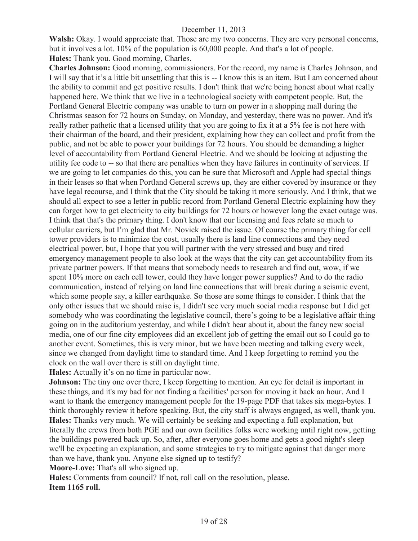**Walsh:** Okay. I would appreciate that. Those are my two concerns. They are very personal concerns, but it involves a lot. 10% of the population is 60,000 people. And that's a lot of people. **Hales:** Thank you. Good morning, Charles.

**Charles Johnson:** Good morning, commissioners. For the record, my name is Charles Johnson, and I will say that it's a little bit unsettling that this is -- I know this is an item. But I am concerned about the ability to commit and get positive results. I don't think that we're being honest about what really happened here. We think that we live in a technological society with competent people. But, the Portland General Electric company was unable to turn on power in a shopping mall during the Christmas season for 72 hours on Sunday, on Monday, and yesterday, there was no power. And it's really rather pathetic that a licensed utility that you are going to fix it at a 5% fee is not here with their chairman of the board, and their president, explaining how they can collect and profit from the public, and not be able to power your buildings for 72 hours. You should be demanding a higher level of accountability from Portland General Electric. And we should be looking at adjusting the utility fee code to -- so that there are penalties when they have failures in continuity of services. If we are going to let companies do this, you can be sure that Microsoft and Apple had special things in their leases so that when Portland General screws up, they are either covered by insurance or they have legal recourse, and I think that the City should be taking it more seriously. And I think, that we should all expect to see a letter in public record from Portland General Electric explaining how they can forget how to get electricity to city buildings for 72 hours or however long the exact outage was. I think that that's the primary thing. I don't know that our licensing and fees relate so much to cellular carriers, but I'm glad that Mr. Novick raised the issue. Of course the primary thing for cell tower providers is to minimize the cost, usually there is land line connections and they need electrical power, but, I hope that you will partner with the very stressed and busy and tired emergency management people to also look at the ways that the city can get accountability from its private partner powers. If that means that somebody needs to research and find out, wow, if we spent 10% more on each cell tower, could they have longer power supplies? And to do the radio communication, instead of relying on land line connections that will break during a seismic event, which some people say, a killer earthquake. So those are some things to consider. I think that the only other issues that we should raise is, I didn't see very much social media response but I did get somebody who was coordinating the legislative council, there's going to be a legislative affair thing going on in the auditorium yesterday, and while I didn't hear about it, about the fancy new social media, one of our fine city employees did an excellent job of getting the email out so I could go to another event. Sometimes, this is very minor, but we have been meeting and talking every week, since we changed from daylight time to standard time. And I keep forgetting to remind you the clock on the wall over there is still on daylight time.

**Hales:** Actually it's on no time in particular now.

**Johnson:** The tiny one over there, I keep forgetting to mention. An eye for detail is important in these things, and it's my bad for not finding a facilities' person for moving it back an hour. And I want to thank the emergency management people for the 19-page PDF that takes six mega-bytes. I think thoroughly review it before speaking. But, the city staff is always engaged, as well, thank you. **Hales:** Thanks very much. We will certainly be seeking and expecting a full explanation, but literally the crews from both PGE and our own facilities folks were working until right now, getting the buildings powered back up. So, after, after everyone goes home and gets a good night's sleep we'll be expecting an explanation, and some strategies to try to mitigate against that danger more than we have, thank you. Anyone else signed up to testify?

**Moore-Love:** That's all who signed up.

**Hales:** Comments from council? If not, roll call on the resolution, please. **Item 1165 roll.**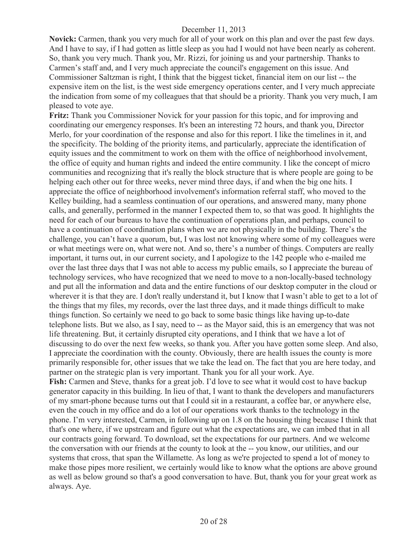**Novick:** Carmen, thank you very much for all of your work on this plan and over the past few days. And I have to say, if I had gotten as little sleep as you had I would not have been nearly as coherent. So, thank you very much. Thank you, Mr. Rizzi, for joining us and your partnership. Thanks to Carmen's staff and, and I very much appreciate the council's engagement on this issue. And Commissioner Saltzman is right, I think that the biggest ticket, financial item on our list -- the expensive item on the list, is the west side emergency operations center, and I very much appreciate the indication from some of my colleagues that that should be a priority. Thank you very much, I am pleased to vote aye.

**Fritz:** Thank you Commissioner Novick for your passion for this topic, and for improving and coordinating our emergency responses. It's been an interesting 72 hours, and thank you, Director Merlo, for your coordination of the response and also for this report. I like the timelines in it, and the specificity. The bolding of the priority items, and particularly, appreciate the identification of equity issues and the commitment to work on them with the office of neighborhood involvement, the office of equity and human rights and indeed the entire community. I like the concept of micro communities and recognizing that it's really the block structure that is where people are going to be helping each other out for three weeks, never mind three days, if and when the big one hits. I appreciate the office of neighborhood involvement's information referral staff, who moved to the Kelley building, had a seamless continuation of our operations, and answered many, many phone calls, and generally, performed in the manner I expected them to, so that was good. It highlights the need for each of our bureaus to have the continuation of operations plan, and perhaps, council to have a continuation of coordination plans when we are not physically in the building. There's the challenge, you can't have a quorum, but, I was lost not knowing where some of my colleagues were or what meetings were on, what were not. And so, there's a number of things. Computers are really important, it turns out, in our current society, and I apologize to the 142 people who e-mailed me over the last three days that I was not able to access my public emails, so I appreciate the bureau of technology services, who have recognized that we need to move to a non-locally-based technology and put all the information and data and the entire functions of our desktop computer in the cloud or wherever it is that they are. I don't really understand it, but I know that I wasn't able to get to a lot of the things that my files, my records, over the last three days, and it made things difficult to make things function. So certainly we need to go back to some basic things like having up-to-date telephone lists. But we also, as I say, need to -- as the Mayor said, this is an emergency that was not life threatening. But, it certainly disrupted city operations, and I think that we have a lot of discussing to do over the next few weeks, so thank you. After you have gotten some sleep. And also, I appreciate the coordination with the county. Obviously, there are health issues the county is more primarily responsible for, other issues that we take the lead on. The fact that you are here today, and partner on the strategic plan is very important. Thank you for all your work. Aye. **Fish:** Carmen and Steve, thanks for a great job. I'd love to see what it would cost to have backup generator capacity in this building. In lieu of that, I want to thank the developers and manufacturers of my smart-phone because turns out that I could sit in a restaurant, a coffee bar, or anywhere else, even the couch in my office and do a lot of our operations work thanks to the technology in the phone. I'm very interested, Carmen, in following up on 1.8 on the housing thing because I think that that's one where, if we upstream and figure out what the expectations are, we can imbed that in all our contracts going forward. To download, set the expectations for our partners. And we welcome the conversation with our friends at the county to look at the -- you know, our utilities, and our systems that cross, that span the Willamette. As long as we're projected to spend a lot of money to make those pipes more resilient, we certainly would like to know what the options are above ground as well as below ground so that's a good conversation to have. But, thank you for your great work as always. Aye.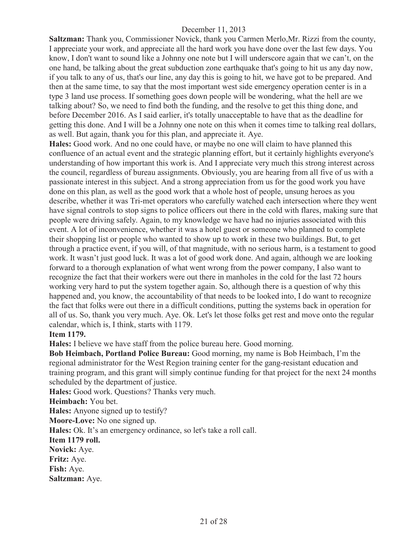**Saltzman:** Thank you, Commissioner Novick, thank you Carmen Merlo,Mr. Rizzi from the county, I appreciate your work, and appreciate all the hard work you have done over the last few days. You know, I don't want to sound like a Johnny one note but I will underscore again that we can't, on the one hand, be talking about the great subduction zone earthquake that's going to hit us any day now, if you talk to any of us, that's our line, any day this is going to hit, we have got to be prepared. And then at the same time, to say that the most important west side emergency operation center is in a type 3 land use process. If something goes down people will be wondering, what the hell are we talking about? So, we need to find both the funding, and the resolve to get this thing done, and before December 2016. As I said earlier, it's totally unacceptable to have that as the deadline for getting this done. And I will be a Johnny one note on this when it comes time to talking real dollars, as well. But again, thank you for this plan, and appreciate it. Aye.

**Hales:** Good work. And no one could have, or maybe no one will claim to have planned this confluence of an actual event and the strategic planning effort, but it certainly highlights everyone's understanding of how important this work is. And I appreciate very much this strong interest across the council, regardless of bureau assignments. Obviously, you are hearing from all five of us with a passionate interest in this subject. And a strong appreciation from us for the good work you have done on this plan, as well as the good work that a whole host of people, unsung heroes as you describe, whether it was Tri-met operators who carefully watched each intersection where they went have signal controls to stop signs to police officers out there in the cold with flares, making sure that people were driving safely. Again, to my knowledge we have had no injuries associated with this event. A lot of inconvenience, whether it was a hotel guest or someone who planned to complete their shopping list or people who wanted to show up to work in these two buildings. But, to get through a practice event, if you will, of that magnitude, with no serious harm, is a testament to good work. It wasn't just good luck. It was a lot of good work done. And again, although we are looking forward to a thorough explanation of what went wrong from the power company, I also want to recognize the fact that their workers were out there in manholes in the cold for the last 72 hours working very hard to put the system together again. So, although there is a question of why this happened and, you know, the accountability of that needs to be looked into, I do want to recognize the fact that folks were out there in a difficult conditions, putting the systems back in operation for all of us. So, thank you very much. Aye. Ok. Let's let those folks get rest and move onto the regular calendar, which is, I think, starts with 1179.

#### **Item 1179.**

**Hales:** I believe we have staff from the police bureau here. Good morning.

**Bob Heimbach, Portland Police Bureau:** Good morning, my name is Bob Heimbach, I'm the regional administrator for the West Region training center for the gang-resistant education and training program, and this grant will simply continue funding for that project for the next 24 months scheduled by the department of justice.

**Hales:** Good work. Questions? Thanks very much.

**Heimbach:** You bet.

**Hales:** Anyone signed up to testify?

**Moore-Love:** No one signed up.

**Hales:** Ok. It's an emergency ordinance, so let's take a roll call.

#### **Item 1179 roll.**

**Novick:** Aye. **Fritz:** Aye. **Fish:** Aye.

**Saltzman:** Aye.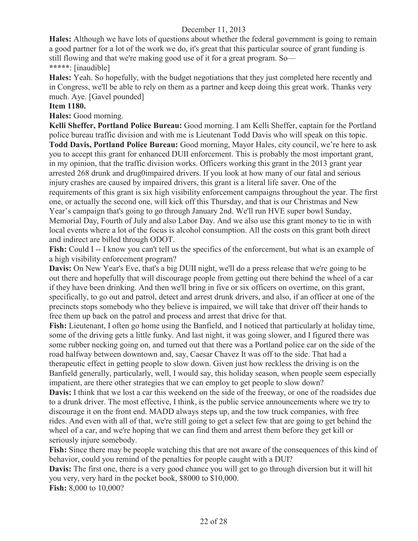**Hales:** Although we have lots of questions about whether the federal government is going to remain a good partner for a lot of the work we do, it's great that this particular source of grant funding is still flowing and that we're making good use of it for a great program. So— **\*\*\*\*\***: [inaudible]

**Hales:** Yeah. So hopefully, with the budget negotiations that they just completed here recently and in Congress, we'll be able to rely on them as a partner and keep doing this great work. Thanks very much. Aye. [Gavel pounded]

#### **Item 1180.**

**Hales:** Good morning.

**Kelli Sheffer, Portland Police Bureau:** Good morning. I am Kelli Sheffer, captain for the Portland police bureau traffic division and with me is Lieutenant Todd Davis who will speak on this topic. **Todd Davis, Portland Police Bureau:** Good morning, Mayor Hales, city council, we're here to ask you to accept this grant for enhanced DUII enforcement. This is probably the most important grant, in my opinion, that the traffic division works. Officers working this grant in the 2013 grant year arrested 268 drunk and drug0impaired drivers. If you look at how many of our fatal and serious injury crashes are caused by impaired drivers, this grant is a literal life saver. One of the requirements of this grant is six high visibility enforcement campaigns throughout the year. The first one, or actually the second one, will kick off this Thursday, and that is our Christmas and New Year's campaign that's going to go through January 2nd. We'll run HVE super bowl Sunday, Memorial Day, Fourth of July and also Labor Day. And we also use this grant money to tie in with local events where a lot of the focus is alcohol consumption. All the costs on this grant both direct and indirect are billed through ODOT.

**Fish:** Could I -- I know you can't tell us the specifics of the enforcement, but what is an example of a high visibility enforcement program?

**Davis:** On New Year's Eve, that's a big DUII night, we'll do a press release that we're going to be out there and hopefully that will discourage people from getting out there behind the wheel of a car if they have been drinking. And then we'll bring in five or six officers on overtime, on this grant, specifically, to go out and patrol, detect and arrest drunk drivers, and also, if an officer at one of the precincts stops somebody who they believe is impaired, we will take that driver off their hands to free them up back on the patrol and process and arrest that drive for that.

**Fish:** Lieutenant, I often go home using the Banfield, and I noticed that particularly at holiday time, some of the driving gets a little funky. And last night, it was going slower, and I figured there was some rubber necking going on, and turned out that there was a Portland police car on the side of the road halfway between downtown and, say, Caesar Chavez It was off to the side. That had a therapeutic effect in getting people to slow down. Given just how reckless the driving is on the Banfield generally, particularly, well, I would say, this holiday season, when people seem especially impatient, are there other strategies that we can employ to get people to slow down?

**Davis:** I think that we lost a car this weekend on the side of the freeway, or one of the roadsides due to a drunk driver. The most effective, I think, is the public service announcements where we try to discourage it on the front end. MADD always steps up, and the tow truck companies, with free rides. And even with all of that, we're still going to get a select few that are going to get behind the wheel of a car, and we're hoping that we can find them and arrest them before they get kill or seriously injure somebody.

**Fish:** Since there may be people watching this that are not aware of the consequences of this kind of behavior, could you remind of the penalties for people caught with a DUI?

**Davis:** The first one, there is a very good chance you will get to go through diversion but it will hit you very, very hard in the pocket book, \$8000 to \$10,000.

**Fish:** 8,000 to 10,000?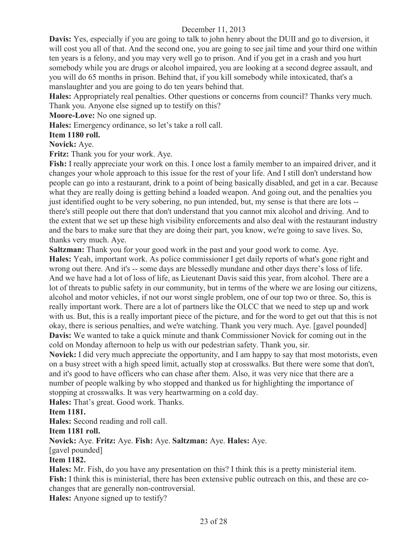**Davis:** Yes, especially if you are going to talk to john henry about the DUII and go to diversion, it will cost you all of that. And the second one, you are going to see jail time and your third one within ten years is a felony, and you may very well go to prison. And if you get in a crash and you hurt somebody while you are drugs or alcohol impaired, you are looking at a second degree assault, and you will do 65 months in prison. Behind that, if you kill somebody while intoxicated, that's a manslaughter and you are going to do ten years behind that.

**Hales:** Appropriately real penalties. Other questions or concerns from council? Thanks very much. Thank you. Anyone else signed up to testify on this?

**Moore-Love:** No one signed up.

**Hales:** Emergency ordinance, so let's take a roll call.

# **Item 1180 roll.**

# **Novick:** Aye.

**Fritz:** Thank you for your work. Aye.

**Fish:** I really appreciate your work on this. I once lost a family member to an impaired driver, and it changes your whole approach to this issue for the rest of your life. And I still don't understand how people can go into a restaurant, drink to a point of being basically disabled, and get in a car. Because what they are really doing is getting behind a loaded weapon. And going out, and the penalties you just identified ought to be very sobering, no pun intended, but, my sense is that there are lots - there's still people out there that don't understand that you cannot mix alcohol and driving. And to the extent that we set up these high visibility enforcements and also deal with the restaurant industry and the bars to make sure that they are doing their part, you know, we're going to save lives. So, thanks very much. Aye.

**Saltzman:** Thank you for your good work in the past and your good work to come. Aye.

**Hales:** Yeah, important work. As police commissioner I get daily reports of what's gone right and wrong out there. And it's -- some days are blessedly mundane and other days there's loss of life. And we have had a lot of loss of life, as Lieutenant Davis said this year, from alcohol. There are a lot of threats to public safety in our community, but in terms of the where we are losing our citizens, alcohol and motor vehicles, if not our worst single problem, one of our top two or three. So, this is really important work. There are a lot of partners like the OLCC that we need to step up and work with us. But, this is a really important piece of the picture, and for the word to get out that this is not okay, there is serious penalties, and we're watching. Thank you very much. Aye. [gavel pounded] **Davis:** We wanted to take a quick minute and thank Commissioner Novick for coming out in the cold on Monday afternoon to help us with our pedestrian safety. Thank you, sir.

**Novick:** I did very much appreciate the opportunity, and I am happy to say that most motorists, even on a busy street with a high speed limit, actually stop at crosswalks. But there were some that don't, and it's good to have officers who can chase after them. Also, it was very nice that there are a number of people walking by who stopped and thanked us for highlighting the importance of stopping at crosswalks. It was very heartwarming on a cold day.

**Hales:** That's great. Good work. Thanks.

## **Item 1181.**

**Hales:** Second reading and roll call.

#### **Item 1181 roll.**

**Novick:** Aye. **Fritz:** Aye. **Fish:** Aye. **Saltzman:** Aye. **Hales:** Aye.

[gavel pounded]

## **Item 1182.**

**Hales:** Mr. Fish, do you have any presentation on this? I think this is a pretty ministerial item. **Fish:** I think this is ministerial, there has been extensive public outreach on this, and these are cochanges that are generally non-controversial.

**Hales:** Anyone signed up to testify?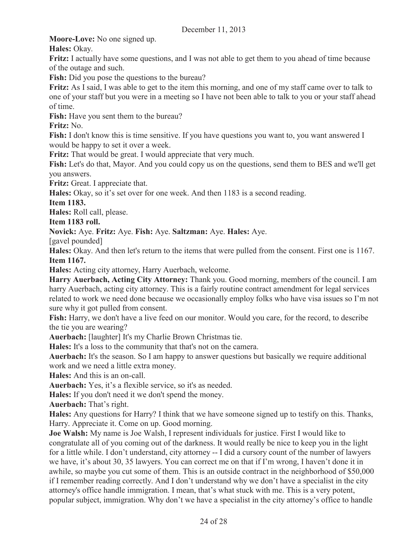**Moore-Love:** No one signed up.

**Hales:** Okay.

**Fritz:** I actually have some questions, and I was not able to get them to you ahead of time because of the outage and such.

**Fish:** Did you pose the questions to the bureau?

**Fritz:** As I said, I was able to get to the item this morning, and one of my staff came over to talk to one of your staff but you were in a meeting so I have not been able to talk to you or your staff ahead of time.

**Fish:** Have you sent them to the bureau?

**Fritz:** No.

**Fish:** I don't know this is time sensitive. If you have questions you want to, you want answered I would be happy to set it over a week.

**Fritz:** That would be great. I would appreciate that very much.

**Fish:** Let's do that, Mayor. And you could copy us on the questions, send them to BES and we'll get you answers.

**Fritz:** Great. I appreciate that.

**Hales:** Okay, so it's set over for one week. And then 1183 is a second reading.

**Item 1183.**

**Hales:** Roll call, please.

**Item 1183 roll.** 

**Novick:** Aye. **Fritz:** Aye. **Fish:** Aye. **Saltzman:** Aye. **Hales:** Aye.

[gavel pounded]

**Hales:** Okay. And then let's return to the items that were pulled from the consent. First one is 1167. **Item 1167.** 

**Hales:** Acting city attorney, Harry Auerbach, welcome.

**Harry Auerbach, Acting City Attorney:** Thank you. Good morning, members of the council. I am harry Auerbach, acting city attorney. This is a fairly routine contract amendment for legal services related to work we need done because we occasionally employ folks who have visa issues so I'm not sure why it got pulled from consent.

**Fish:** Harry, we don't have a live feed on our monitor. Would you care, for the record, to describe the tie you are wearing?

**Auerbach:** [laughter] It's my Charlie Brown Christmas tie.

**Hales:** It's a loss to the community that that's not on the camera.

**Auerbach:** It's the season. So I am happy to answer questions but basically we require additional work and we need a little extra money.

**Hales:** And this is an on-call.

**Auerbach:** Yes, it's a flexible service, so it's as needed.

**Hales:** If you don't need it we don't spend the money.

**Auerbach:** That's right.

**Hales:** Any questions for Harry? I think that we have someone signed up to testify on this. Thanks, Harry. Appreciate it. Come on up. Good morning.

**Joe Walsh:** My name is Joe Walsh, I represent individuals for justice. First I would like to congratulate all of you coming out of the darkness. It would really be nice to keep you in the light for a little while. I don't understand, city attorney -- I did a cursory count of the number of lawyers we have, it's about 30, 35 lawyers. You can correct me on that if I'm wrong, I haven't done it in awhile, so maybe you cut some of them. This is an outside contract in the neighborhood of \$50,000 if I remember reading correctly. And I don't understand why we don't have a specialist in the city attorney's office handle immigration. I mean, that's what stuck with me. This is a very potent, popular subject, immigration. Why don't we have a specialist in the city attorney's office to handle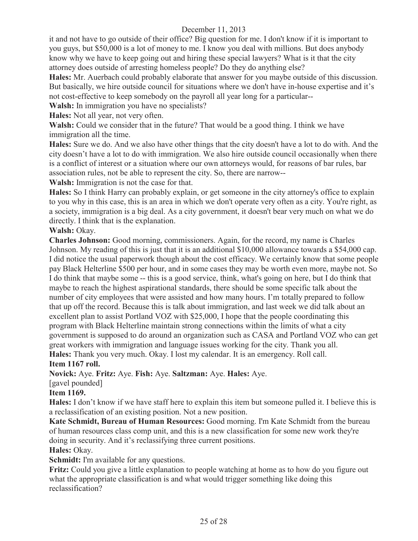it and not have to go outside of their office? Big question for me. I don't know if it is important to you guys, but \$50,000 is a lot of money to me. I know you deal with millions. But does anybody know why we have to keep going out and hiring these special lawyers? What is it that the city attorney does outside of arresting homeless people? Do they do anything else?

**Hales:** Mr. Auerbach could probably elaborate that answer for you maybe outside of this discussion. But basically, we hire outside council for situations where we don't have in-house expertise and it's not cost-effective to keep somebody on the payroll all year long for a particular--

**Walsh:** In immigration you have no specialists?

**Hales:** Not all year, not very often.

**Walsh:** Could we consider that in the future? That would be a good thing. I think we have immigration all the time.

**Hales:** Sure we do. And we also have other things that the city doesn't have a lot to do with. And the city doesn't have a lot to do with immigration. We also hire outside council occasionally when there is a conflict of interest or a situation where our own attorneys would, for reasons of bar rules, bar association rules, not be able to represent the city. So, there are narrow--

**Walsh:** Immigration is not the case for that.

**Hales:** So I think Harry can probably explain, or get someone in the city attorney's office to explain to you why in this case, this is an area in which we don't operate very often as a city. You're right, as a society, immigration is a big deal. As a city government, it doesn't bear very much on what we do directly. I think that is the explanation.

#### **Walsh:** Okay.

**Charles Johnson:** Good morning, commissioners. Again, for the record, my name is Charles Johnson. My reading of this is just that it is an additional \$10,000 allowance towards a \$54,000 cap. I did notice the usual paperwork though about the cost efficacy. We certainly know that some people pay Black Helterline \$500 per hour, and in some cases they may be worth even more, maybe not. So I do think that maybe some -- this is a good service, think, what's going on here, but I do think that maybe to reach the highest aspirational standards, there should be some specific talk about the number of city employees that were assisted and how many hours. I'm totally prepared to follow that up off the record. Because this is talk about immigration, and last week we did talk about an excellent plan to assist Portland VOZ with \$25,000, I hope that the people coordinating this program with Black Helterline maintain strong connections within the limits of what a city government is supposed to do around an organization such as CASA and Portland VOZ who can get great workers with immigration and language issues working for the city. Thank you all. **Hales:** Thank you very much. Okay. I lost my calendar. It is an emergency. Roll call.

**Item 1167 roll.**

**Novick:** Aye. **Fritz:** Aye. **Fish:** Aye. **Saltzman:** Aye. **Hales:** Aye.

[gavel pounded]

## **Item 1169.**

**Hales:** I don't know if we have staff here to explain this item but someone pulled it. I believe this is a reclassification of an existing position. Not a new position.

**Kate Schmidt, Bureau of Human Resources:** Good morning. I'm Kate Schmidt from the bureau of human resources class comp unit, and this is a new classification for some new work they're doing in security. And it's reclassifying three current positions.

#### **Hales:** Okay.

**Schmidt:** I'm available for any questions.

**Fritz:** Could you give a little explanation to people watching at home as to how do you figure out what the appropriate classification is and what would trigger something like doing this reclassification?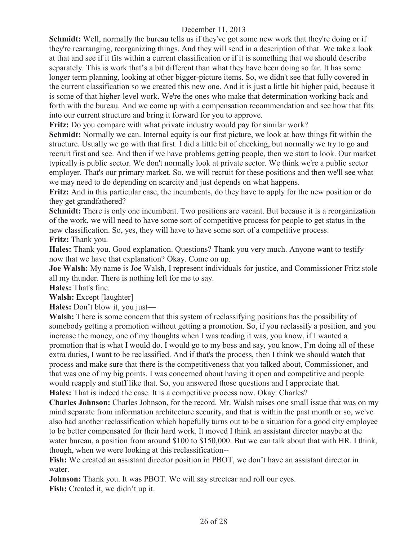**Schmidt:** Well, normally the bureau tells us if they've got some new work that they're doing or if they're rearranging, reorganizing things. And they will send in a description of that. We take a look at that and see if it fits within a current classification or if it is something that we should describe separately. This is work that's a bit different than what they have been doing so far. It has some longer term planning, looking at other bigger-picture items. So, we didn't see that fully covered in the current classification so we created this new one. And it is just a little bit higher paid, because it is some of that higher-level work. We're the ones who make that determination working back and forth with the bureau. And we come up with a compensation recommendation and see how that fits into our current structure and bring it forward for you to approve.

**Fritz:** Do you compare with what private industry would pay for similar work?

**Schmidt:** Normally we can. Internal equity is our first picture, we look at how things fit within the structure. Usually we go with that first. I did a little bit of checking, but normally we try to go and recruit first and see. And then if we have problems getting people, then we start to look. Our market typically is public sector. We don't normally look at private sector. We think we're a public sector employer. That's our primary market. So, we will recruit for these positions and then we'll see what we may need to do depending on scarcity and just depends on what happens.

**Fritz:** And in this particular case, the incumbents, do they have to apply for the new position or do they get grandfathered?

**Schmidt:** There is only one incumbent. Two positions are vacant. But because it is a reorganization of the work, we will need to have some sort of competitive process for people to get status in the new classification. So, yes, they will have to have some sort of a competitive process. **Fritz:** Thank you.

**Hales:** Thank you. Good explanation. Questions? Thank you very much. Anyone want to testify now that we have that explanation? Okay. Come on up.

**Joe Walsh:** My name is Joe Walsh, I represent individuals for justice, and Commissioner Fritz stole all my thunder. There is nothing left for me to say.

**Hales:** That's fine.

**Walsh:** Except [laughter]

**Hales:** Don't blow it, you just—

Walsh: There is some concern that this system of reclassifying positions has the possibility of somebody getting a promotion without getting a promotion. So, if you reclassify a position, and you increase the money, one of my thoughts when I was reading it was, you know, if I wanted a promotion that is what I would do. I would go to my boss and say, you know, I'm doing all of these extra duties, I want to be reclassified. And if that's the process, then I think we should watch that process and make sure that there is the competitiveness that you talked about, Commissioner, and that was one of my big points. I was concerned about having it open and competitive and people would reapply and stuff like that. So, you answered those questions and I appreciate that. **Hales:** That is indeed the case. It is a competitive process now. Okay. Charles?

**Charles Johnson:** Charles Johnson, for the record. Mr. Walsh raises one small issue that was on my mind separate from information architecture security, and that is within the past month or so, we've also had another reclassification which hopefully turns out to be a situation for a good city employee to be better compensated for their hard work. It moved I think an assistant director maybe at the water bureau, a position from around \$100 to \$150,000. But we can talk about that with HR. I think, though, when we were looking at this reclassification--

**Fish:** We created an assistant director position in PBOT, we don't have an assistant director in water.

**Johnson:** Thank you. It was PBOT. We will say streetcar and roll our eyes. Fish: Created it, we didn't up it.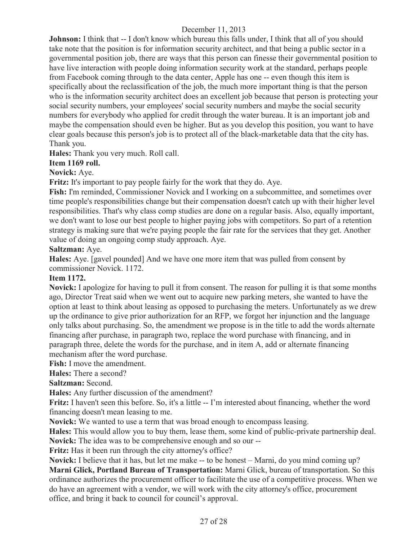**Johnson:** I think that  $-$  I don't know which bureau this falls under, I think that all of you should take note that the position is for information security architect, and that being a public sector in a governmental position job, there are ways that this person can finesse their governmental position to have live interaction with people doing information security work at the standard, perhaps people from Facebook coming through to the data center, Apple has one -- even though this item is specifically about the reclassification of the job, the much more important thing is that the person who is the information security architect does an excellent job because that person is protecting your social security numbers, your employees' social security numbers and maybe the social security numbers for everybody who applied for credit through the water bureau. It is an important job and maybe the compensation should even be higher. But as you develop this position, you want to have clear goals because this person's job is to protect all of the black-marketable data that the city has. Thank you.

**Hales:** Thank you very much. Roll call.

# **Item 1169 roll.**

## **Novick:** Aye.

**Fritz:** It's important to pay people fairly for the work that they do. Aye.

**Fish:** I'm reminded, Commissioner Novick and I working on a subcommittee, and sometimes over time people's responsibilities change but their compensation doesn't catch up with their higher level responsibilities. That's why class comp studies are done on a regular basis. Also, equally important, we don't want to lose our best people to higher paying jobs with competitors. So part of a retention strategy is making sure that we're paying people the fair rate for the services that they get. Another value of doing an ongoing comp study approach. Aye.

## **Saltzman:** Aye.

**Hales:** Aye. [gavel pounded] And we have one more item that was pulled from consent by commissioner Novick. 1172.

## **Item 1172.**

**Novick:** I apologize for having to pull it from consent. The reason for pulling it is that some months ago, Director Treat said when we went out to acquire new parking meters, she wanted to have the option at least to think about leasing as opposed to purchasing the meters. Unfortunately as we drew up the ordinance to give prior authorization for an RFP, we forgot her injunction and the language only talks about purchasing. So, the amendment we propose is in the title to add the words alternate financing after purchase, in paragraph two, replace the word purchase with financing, and in paragraph three, delete the words for the purchase, and in item A, add or alternate financing mechanism after the word purchase.

**Fish:** I move the amendment.

**Hales:** There a second?

**Saltzman:** Second.

**Hales:** Any further discussion of the amendment?

**Fritz:** I haven't seen this before. So, it's a little -- I'm interested about financing, whether the word financing doesn't mean leasing to me.

**Novick:** We wanted to use a term that was broad enough to encompass leasing.

**Hales:** This would allow you to buy them, lease them, some kind of public-private partnership deal. **Novick:** The idea was to be comprehensive enough and so our --

**Fritz:** Has it been run through the city attorney's office?

**Novick:** I believe that it has, but let me make -- to be honest – Marni, do you mind coming up? **Marni Glick, Portland Bureau of Transportation:** Marni Glick, bureau of transportation. So this ordinance authorizes the procurement officer to facilitate the use of a competitive process. When we do have an agreement with a vendor, we will work with the city attorney's office, procurement office, and bring it back to council for council's approval.